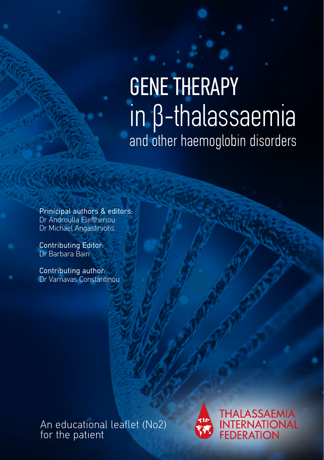# GENE THERAPY in β-thalassaemia and other haemoglobin disorders

Prinicipal authors & editors: Dr Androulla Eleftheriou Dr Michael Angastiniotis

Contributing Editor: Dr Barbara Bain

Contributing author: Dr Varnavas Constantinou

An educational leaflet (No2) for the patient



**THALASSAEMIA** INTERNATIONAL<br>FEDERATION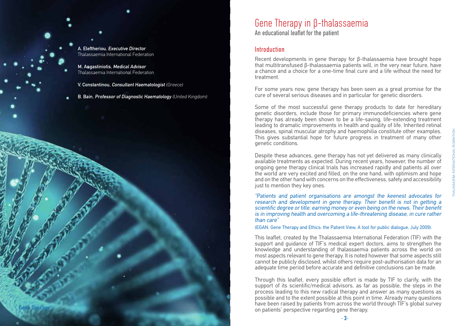A. Eleftheriou, Executive Director Thalassaemia International Federation

M. Angastiniotis, Medical Advisor Thalassaemia International Federation

Gene Therapy

V. Constantinou, Consultant Haematologist (Greece)

B. Bain, Professor of Diagnostic Haematology (United Kingdom)

### Gene Therapy in β-thalassaemia

An educational leaflet for the patient

#### Introduction

Recent developments in gene therapy for β-thalassaemia have brought hope that multitransfused β-thalassaemia patients will, in the very near future, have a chance and a choice for a one-time final cure and a life without the need for treatment.

For some years now, gene therapy has been seen as a great promise for the cure of several serious diseases and in particular for genetic disorders.

Some of the most successful gene therapy products to date for hereditary genetic disorders, include those for primary immunodeficiencies where gene therapy has already been shown to be a life-saving, life-extending treatment leading to dramatic improvements in health and quality of life. Inherited retinal diseases, spinal muscular atrophy and haemophilia constitute other examples. This gives substantial hope for future progress in treatment of many other genetic conditions.

Despite these advances, gene therapy has not yet delivered as many clinically available treatments as expected. During recent years, however, the number of ongoing gene therapy clinical trials has increased rapidly and patients all over the world are very excited and filled, on the one hand, with optimism and hope and on the other hand with concerns on the effectiveness, safety and accessibility just to mention they key ones.

"Patients and patient organisations are amongst the keenest advocates for research and development in gene therapy. Their benefit is not in getting a scientific degree or title, earning money or even being on the news. Their benefit is in improving health and overcoming a life-threatening disease, in cure rather than care"

(EGAN, Gene Therapy and Ethics: the Patient View, A tool for public dialogue, July 2009).

This leaflet, created by the Thalassaemia International Federation (TIF) with the support and guidance of TIF's medical expert doctors, aims to strengthen the knowledge and understanding of thalassaemia patients across the world on most aspects relevant to gene therapy. It is noted however that some aspects still cannot be publicly disclosed, whilst others require post-authorisation data for an adequate time period before accurate and definitive conclusions can be made.

Through this leaflet, every possible effort is made by TIF to clarify, with the support of its scientific/medical advisors, as far as possible, the steps in the process leading to this new radical therapy and answer as many questions as possible and to the extent possible at this point in time. Already many questions have been raised by patients from across the world through TIF's global survey on patients' perspective regarding gene therapy.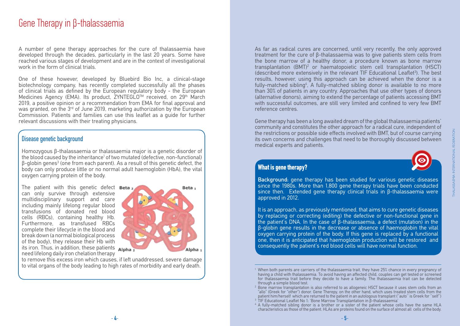### Gene Therapy in β-thalassaemia

A number of gene therapy approaches for the cure of thalassaemia have developed through the decades, particularly in the last 20 years. Some have reached various stages of development and are in the context of investigational work in the form of clinical trials

One of these however, developed by Bluebird Bio Inc, a clinical-stage biotechnology company, has recently completed successfully all the phases of clinical trials as defined by the European regulatory body - the European Medicines Agency (EMA). Its product, ZYNTEGLO™ received, on 29<sup>th</sup> March 2019, a positive opinion or a recommendation from EMA for final approval and was granted, on the 3<sup>rd</sup> of June 2019, marketing authorization by the European Commission. Patients and families can use this leaflet as a guide for further relevant discussions with their treating physicians.

#### Disease genetic background

Homozygous β-thalassaemia or thalassaemia major is a genetic disorder of the blood caused by the inheritance<sup>1</sup> of two mutated (defective, non-functional)  $β$ -globin genes<sup>3</sup> (one from each parent). As a result of this genetic defect, the body can only produce little or no normal adult haemoglobin (HbA), the vital oxygen carrying protein of the body.

The patient with this genetic defect  $Beta_2$ can only survive through extensive multidisciplinary support and care including mainly lifelong regular blood transfusions of donated red blood cells (RBCs), containing healthy Hb. Furthermore, as transfused RBCs complete their lifecycle in the blood and break down (a normal biological process of the body), they release their Hb with its iron. Thus, in addition, these patients Alpha need lifelong daily iron chelation therapy



to remove this excess iron which causes, if left unaddressed, severe damage to vital organs of the body leading to high rates of morbidity and early death.

As far as radical cures are concerned, until very recently, the only approved treatment for the cure of β-thalassaemia was to give patients stem cells from the bone marrow of a healthy donor, a procedure known as bone marrow transplantation (BMT)2 or haematopoietic stem cell transplantation (HSCT) (described more extensively in the relevant TIF Educational Leaflet<sup>3</sup>). The best results, however, using this approach can be achieved when the donor is a fully-matched sibling<sup>4</sup>, A fully-matched sibling donor is available to no more than 30% of patients in any country. Approaches that use other types of donors (alternative donors), aiming to extend the percentage of patients accessing BMT with successful outcomes, are still very limited and confined to very few BMT reference centres.

Gene therapy has been a long awaited dream of the global thalassaemia patients' community and constitutes the other approach for a radical cure, independent of the restrictions or possible side effects involved with BMT, but of course carrying its own concerns and challenges that need to be thoroughly discussed between medical experts and patients.



### **What is gene therapy?**

Background: gene therapy has been studied for various genetic diseases since the 1980s. More than 1,800 gene therapy trials have been conducted since then. Extended gene therapy clinical trials in β-thalassaemia were approved in 2012.

It is an approach, as previously mentioned, that aims to cure genetic diseases by replacing or correcting (editing) the defective or non-functional gene in the patient's DNA. In the case of β-thalassaemia, a defect (mutation) in the β-globin gene results in the decrease or absence of haemoglobin the vital oxygen carrying protein of the body. If this gene is replaced by a functional one, then it is anticipated that haemoglobin production will be restored and consequently the patient's red blood cells will have normal function.

<sup>&</sup>lt;sup>1</sup> When both parents are carriers of the thalassaemia trait, they have 25% chance in every pregnancy of having a child with thalassaemia. To avoid having an affected child, couples can get tested or screened for thalassaemia trait before they decide to have a family. The thalassaemia trait can be detected through a simple blood test.

<sup>2</sup> Bone marrow transplantation is also referred to as allogeneic HSCT because it uses stem cells from an "allo" (Greek for "other") donor. Gene Therepy, on the other hand, which uses treated stem cells from the patient him/herself which are returned to the patient in an autologous transplant (''auto'' is Greek for ''self'') <sup>3</sup> TIF Educational Leaflet No 1: 'Bone Marrow Transplantation in β-thalassaemia'

<sup>4</sup> A fully-matched sibling donor is a brother or a sister of the patient whose cells have the same HLA

characteristics as those of the patient. HLAs are proteins found on the surface of almost all cells of the body.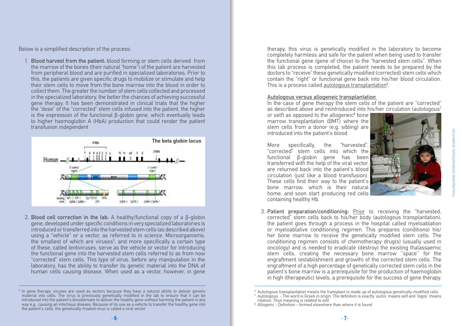Below is a simplified description of the process:

1. Blood harvest from the patient: blood forming or stem cells derived from the marrow of the bones (their natural "home") of the patient are harvested from peripheral blood and are purified in specialized laboratories. Prior to this, the patients are given specific drugs to mobilize or stimulate and help their stem cells to move from the bone marrow into the blood in order to collect them. The greater the number of stem cells collected and processed in the specialized laboratory, the better the chances of achieving successful gene therapy. It has been demonstrated in clinical trials that the higher the "dose" of the "corrected" stem cells infused into the patient, the higher is the expression of the functional β-globin gene, which eventually leads to higher haemoglobin A (HbA) production that could render the patient transfusion independent



2. Blood cell correction in the lab: A healthy/functional copy of a β-globin gene, developed under specific conditions in very specialized laboratories is introduced or transferred into the harvested stem cells (as described above) using a "vehicle" or a vector, as referred to in science. Microorganisms, the smallest of which are viruses<sup>5</sup>, and more specifically a certain type of these, called lentiviruses, serve as the vehicle or vector for introducing the functional gene into the harvested stem cells referred to as from now "corrected" stem cells. This type of virus, before any manipulation in the laboratory, has the ability to transfer its genetic material into the DNA of human cells causing disease. When used as a vector, however, in gene

therapy, this virus is genetically modified in the laboratory to become completely harmless and safe for the patient when being used to transfer the functional gene (gene of choice) to the "harvested stem cells". When this lab process is completed, the patient needs to be prepared by the doctors to "receive" these genetically modified (corrected) stem cells which contain the "right" or functional gene back into his/her blood circulation. This is a process called autologous transplantation<sup>6</sup>.

#### Autologous versus allogeneic transplantation

In the case of gene therapy the stem cells of the patient are "corrected" as described above and reintroduced into his/her circulation (autologous<sup>7</sup>

or self) as opposed to the allogeneic $8$  bone marrow transplantation (BMT) where the stem cells from a donor (e.g. sibling) are introduced into the patient's blood.

More specifically, the "harvested", "corrected" stem cells into which the functional β-globin gene has been transferred with the help of the viral vector, are returned back into the patient's blood circulation (just like a blood transfusion). These cells find their way to the patient's bone marrow, which is their natural home, and soon start producing red cells containing healthy Hb.



THALASSAEMIA INTERNATIONAL FEDERATION

**HALASSAEMIA INTERNATIONAL FEDERATION** 

3. Patient preparation/conditioning: Prior to receiving the "harvested, corrected" stem cells back to his/her body (autologous transplantation), the patient goes through a process in the hospital called myeloablation or myeloablative conditioning regimen. This prepares (conditions) his/ her bone marrow to receive the genetically modified stem cells. The conditioning regimen consists of chemotherapy drug(s) (usually used in oncology) and is needed to eradicate (destroy) the existing thalassaemic stem cells, creating the necessary bone marrow ''space'' for the engraftment (establishment and growth) of the corrected stem cells. The engraftment of a high percentage of genetically corrected stem cells in the patient's bone marrow is a prerequisite for the production of haemoglobin in high (therapeutic) levels, a prerequisite for the success of gene therapy.

<sup>5</sup> In gene therapy, viruses are used as vectors because they have a natural ability to deliver genetic material into cells. The virus is previously genetically modified in the lab to ensure that it can be introduced into the patient's bloodstream to deliver the healthy gene without harming the patient in any way e.g., causing an infectious disease. Because of its use as a vehicle to transfer the healthy gene into the patient's cells, the genetically-treated virus is called a viral vector.

 $6$  Autologous transplantation means the transplant is made up of autologous genetically modified cells  $^7$  Autologous - The word is Greek in origin. The definition is exactly 'autos' means self and 'logos' means<br>relation. Thus meaning is related to self.

<sup>&</sup>lt;sup>8</sup> Allogenic - Definition - formed elsewhere than where it is found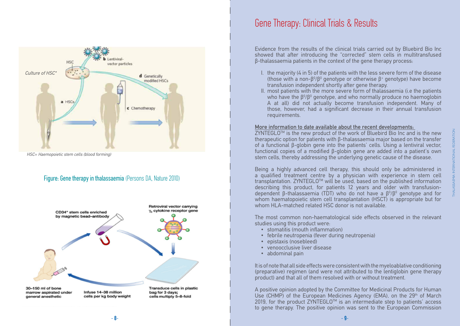

HSC= Haemopoietic stem cells (blood forming)

#### Figure: Gene therapy in thalassaemia (Persons DA, Nature 2010)



### Gene Therapy: Clinical Trials & Results

Evidence from the results of the clinical trials carried out by Bluebird Bio Inc showed that after introducing the "corrected" stem cells in multitransfused β-thalassaemia patients in the context of the gene therapy process:

- I. the majority (4 in 5) of the patients with the less severe form of the disease (those with a non-β<sup>0</sup>/β<sup>0</sup> genotype or otherwise  $β$ <sup>+</sup> genotype) have become transfusion independent shortly after gene therapy.
- II. most patients with the more severe form of thalassaemia (i.e the patients who have the  $β<sup>0</sup>/β<sup>0</sup>$  genotype, and who normally produce no haemoglobin A at all) did not actually become transfusion independent. Many of those, however, had a significant decrease in their annual transfusion requirements.

#### More information to date available about the recent developments:

 $Z$ YNTEGLO<sup>TM</sup> is the new product of the work of Bluebird Bio Inc and is the new therapeutic option for patients with β-thalassaemia major based on the transfer of a functional β-globin gene into the patients' cells. Using a lentiviral vector, functional copies of a modified β-globin gene are added into a patient's own stem cells, thereby addressing the underlying genetic cause of the disease.

Being a highly advanced cell therapy, this should only be administered in a qualified treatment centre by a physician with experience in stem cell transplantation. ZYNTEGLO<sup>™</sup> will be used, based on the published information describing this product, for patients 12 years and older with transfusiondependent β-thalassaemia (TDT) who do not have a  $\beta^{0}/\beta^{0}$  genotype and for whom haematopoietic stem cell transplantation (HSCT) is appropriate but for whom HLA-matched related HSC donor is not available

The most common non-haematological side effects observed in the relevant studies using this product were:

- stomatitis (mouth inflammation)
- febrile neutropenia (fever during neutropenia)
- epistaxis (nosebleed)
- venoocclusive liver disease
- abdominal pain

It is of note that all side effects were consistent with the myeloablative conditioning (preparative) regimen (and were not attributed to the lentiglobin gene therapy product) and that all of them resolved with or without treatment.

A positive opinion adopted by the Committee for Medicinal Products for Human Use (CHMP) of the European Medicines Agency (EMA), on the 29<sup>th</sup> of March 2019, for the product ZYNTEGLO™ is an intermediate step to patients' access to gene therapy. The positive opinion was sent to the European Commission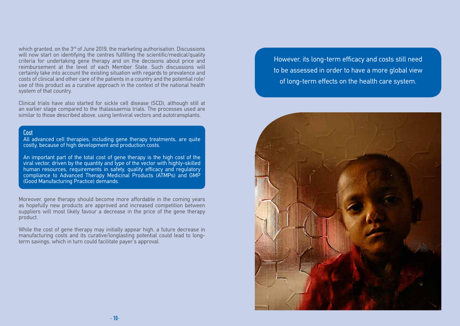which granted, on the 3<sup>rd</sup> of June 2019, the marketing authorisation. Discussions will now start on identifying the centres fulfilling the scientific/medical/quality criteria for undertaking gene therapy and on the decisions about price and reimbursement at the level of each Member State. Such discussions will certainly take into account the existing situation with regards to prevalence and costs of clinical and other care of the patients in a country and the potential role/ use of this product as a curative approach in the context of the national health system of that country.

Clinical trials have also started for sickle cell disease (SCD), although still at an earlier stage compared to the thalassaemia trials. The processes used are similar to those described above, using lentiviral vectors and autotransplants.

#### **Cost**

All advanced cell therapies, including gene therapy treatments, are quite costly, because of high development and production costs.

An important part of the total cost of gene therapy is the high cost of the viral vector, driven by the quantity and type of the vector with highly-skilled human resources, requirements in safety, quality efficacy and regulatory compliance to Advanced Therapy Medicinal Products (ATMPs) and GMP (Good Manufacturing Practice) demands.

Moreover, gene therapy should become more affordable in the coming years as hopefully new products are approved and increased competition between suppliers will most likely favour a decrease in the price of the gene therapy product.

While the cost of gene therapy may initially appear high, a future decrease in manufacturing costs and its curative/longlasting potential could lead to longterm savings, which in turn could facilitate payer's approval.

However, its long-term efficacy and costs still need to be assessed in order to have a more global view of long-term effects on the health care system.

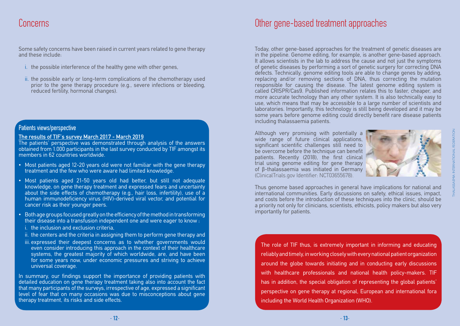Some safety concerns have been raised in current years related to gene therapy and these include:

- i. the possible interference of the healthy gene with other genes,
- ii. the possible early or long-term complications of the chemotherapy used prior to the gene therapy procedure (e.g., severe infections or bleeding, reduced fertility, hormonal changes).

#### Patients views/perspective

#### The results of TIF's survey March 2017 - March 2019

The patients' perspective was demonstrated through analysis of the answers obtained from 1.000 participants in the last survey conducted by TIF amongst its members in 62 countries worldwide.

- Most patients aged 12-20 years old were not familiar with the gene therapy treatment and the few who were aware had limited knowledge.
- Most patients aged 21-50 years old had better, but still not adequate knowledge, on gene therapy treatment and expressed fears and uncertainty about the side effects of chemotherapy (e.g., hair loss, infertility), use of a human immunodeficiency virus (HIV)-derived viral vector, and potential for cancer risk as their younger peers.
- Both age groups focused greatly on the efficiency of the method in transforming their disease into a transfusion independent one and were eager to know :
	- i. the inclusion and exclusion criteria,
	- ii. the centers and the criteria in assigning them to perform gene therapy and
	- iii. expressed their deepest concerns as to whether governments would even consider introducing this approach in the context of their healthcare systems, the greatest majority of which worldwide, are, and have been for some years now, under economic pressures and striving to achieve universal coverage.

In summary, our findings support the importance of providing patients with detailed education on gene therapy treatment taking also into account the fact that many participants of the surveys, irrespective of age, expressed a significant level of fear that on many occasions was due to misconceptions about gene therapy treatment, its risks and side effects.

### Concerns Other gene-based treatment approaches

Today, other gene-based approaches for the treatment of genetic diseases are in the pipeline. Genome editing, for example, is another gene-based approach. It allows scientists in the lab to address the cause and not just the symptoms of genetic diseases by performing a sort of genetic surgery for correcting DNA defects. Technically, genome editing tools are able to change genes by adding, replacing and/or removing sections of DNA, thus correcting the mutation responsible for causing the disease. The latest genome editing system is called CRISPR/Cas9. Published information relates this to faster, cheaper, and more accurate technology than any other system. It is also technically easy to use, which means that may be accessible to a large number of scientists and laboratories. Importantly, this technology is still being developed and it may be some years before genome editing could directly benefit rare disease patients including thalassaemia patients.

Although very promising with potentially a wide range of future clinical applications, significant scientific challenges still need to be overcome before the technique can benefit patients. Recently (2018), the first clinical trial using genome editing for gene therapy of β-thalassaemia was initiated in Germany (ClinicalTrials.gov Identifier: NCT03655678).



Thus genome based approaches in general have implications for national and international communities. Early discussions on safety, ethical issues, impact, and costs before the introduction of these techniques into the clinic, should be a priority not only for clinicians, scientists, ethicists, policy makers but also very importantly for patients.

The role of TIF thus, is extremely important in informing and educating reliably and timely, in working closely with every national patient organization around the globe towards initiating and in conducting early discussions with healthcare professionals and national health policy-makers. TIF has in addition, the special obligation of representing the global patients' perspective on gene therapy at regional, European and international fora including the World Health Organization (WHO).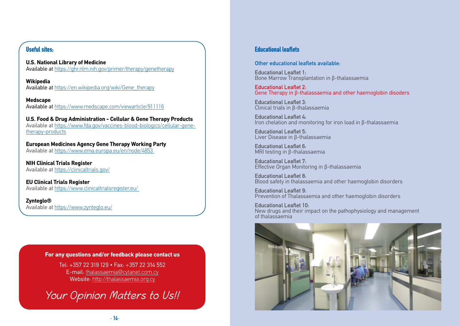#### **Useful sites:**

**U.S. National Library of Medicine** Available at https://ghr.nlm.nih.gov/primer/therapy/genetherapy

**Wikipedia** Available at https://en.wikipedia.org/wiki/Gene\_therapy

**Medscape** Available at https://www.medscape.com/viewarticle/911116

**U.S. Food & Drug Administration - Cellular & Gene Therapy Products** Available at https://www.fda.gov/vaccines-blood-biologics/cellular-genetherapy-products

**European Medicines Agency Gene Therapy Working Party**  Available at https://www.ema.europa.eu/en/node/4853

**NIH Clinical Trials Register** Available at https://clinicaltrials.gov/

**EU Clinical Trials Register** Available at https://www.clinicaltrialsregister.eu/

**Zynteglo®** Available at https://www.zynteglo.eu/

#### **For any questions and/or feedback please contact us**

Tel: +357 22 319 129 • Fax: +357 22 314 552 E-mail: thalassaemia@cytanet.com.cy Website: http://thalassaemia.org.cy

Your Opinion Matters to Us!!

#### **Educational leaflets**

#### Other educational leaflets available:

Educational Leaflet 1: Bone Marrow Transplantation in β-thalassaemia

Educational Leaflet 2: Gene Therapy in β-thalassaemia and other haemoglobin disoders

Educational Leaflet 3: Clinical trials in β-thalassaemia

Educational Leaflet 4: Iron chelation and monitoring for iron load in β-thalassaemia

Educational Leaflet 5: Liver Disease in β-thalassaemia

Educational Leaflet 6: MRI testing in β-thalassaemia

Educational Leaflet 7: Effective Organ Monitoring in β-thalassaemia

Educational Leaflet 8: Blood safety in thalassaemia and other haemoglobin disorders

Educational Leaflet 9: Prevention of Thalassaemia and other haemoglobin disorders

Educational Leaflet 10: New drugs and their impact on the pathophysiology and management of thalassaemia

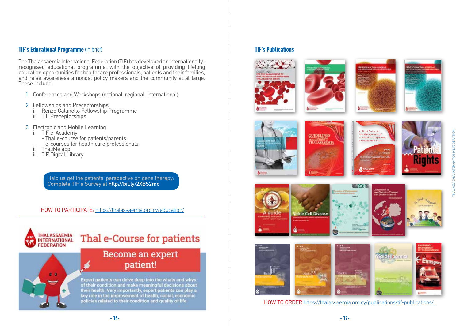#### **TIF's Educational Programme** (in brief)

The Thalassaemia International Federation (TIF) has developed an internationallyrecognised educational programme, with the objective of providing lifelong education opportunities for healthcare professionals, patients and their families, and raise awareness amongst policy makers and the community at at large. These include:

- 1 Conferences and Workshops (national, regional, international)
- 
- 2 Fellowships and Preceptorships<br>i. Renzo Galanello Fellowship Programme<br>ii. TIF Preceptorships
	-
- - -
- 3 Electronic and Mobile Learning<br>i. TIF e-Academy<br>- Thal e-course for patients/parents<br>- e-courses for health care professionals<br>ii. ThaliMe app<br>iii. TIF Digital Library
	-
	-

Help us get the patients' perspective on gene therapy: Complete TIF's Survey at http://bit.ly/2XBS2mo

HOW TO PARTICIPATE: https://thalassaemia.org.cy/education/



## Thal e-Course for patients

### Become an expert patient!

Expert patients can delve deep into the whats and whys of their condition and make meaningful decisions about their health. Very importantly, expert patients can play a<br>key role in the improvement of health, social, economic policies related to their condition and quality of life.

### **TIF's Publications**













kle Cell Diseas













HOW TO ORDER https://thalassaemia.org.cy/publications/tif-publications/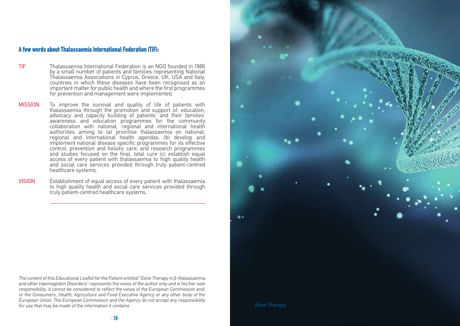#### **A few words about Thalassaemia International Federation (TIF):**

- TIF Thalassaemia International Federation is an NGO founded in 1986 by a small number of patients and families representing National Thalassaemia Associations in Cyprus, Greece, UK, USA and Italy, countries in which these diseases have been recognised as an important matter for public health and where the first programmes for prevention and management were implemented.
- MISSION To improve the survival and quality of life of patients with thalassaemia through the promotion and support of: education, advocacy and capacity building of patients' and their families' awareness and education programmes for the community collaboration with national, regional and international health authorities aiming to (a) prioritise thalassaemia on national, regional and International health agendas; (b) develop and implement national disease specific programmes for its effective control, prevention and holistic care, and research programmes and studies focused on the final, total cure (c) establish equal access of every patient with thalassaemia to high quality health and social care services provided through truly patient-centred healthcare systems.
- VISION Establishment of equal access of every patient with thalassaemia to high quality health and social care services provided through truly patient-centred healthcare systems.

The content of this Educational Leaflet for the Patient entitled "Gene Therapy in β-thalassaemia and other Haemoglobin Disorders" represents the views of the author only and is his/her sole responsibility; it cannot be considered to reflect the views of the European Commission and/ or the Consumers, Health, Agriculture and Food Executive Agency or any other body of the European Union. The European Commission and the Agency do not accept any responsibility for use that may be made of the information it contains.